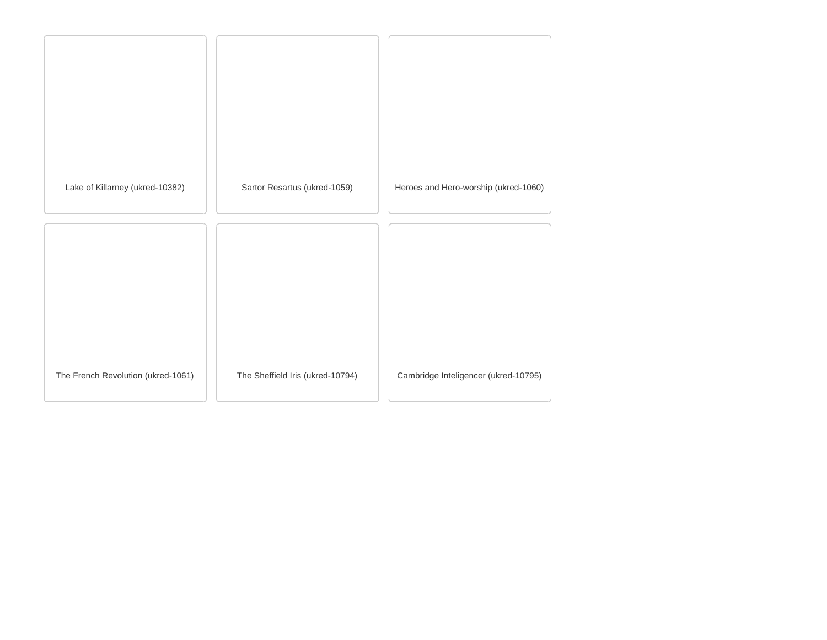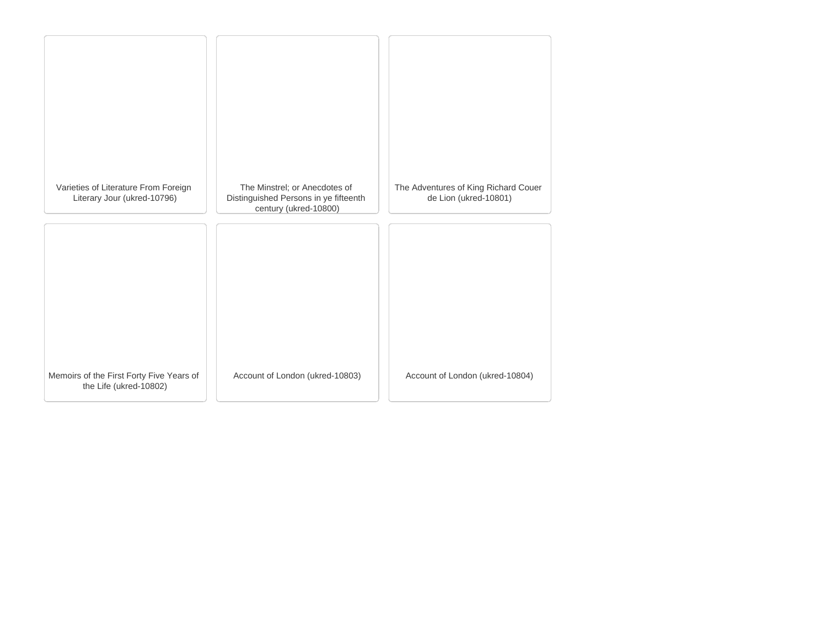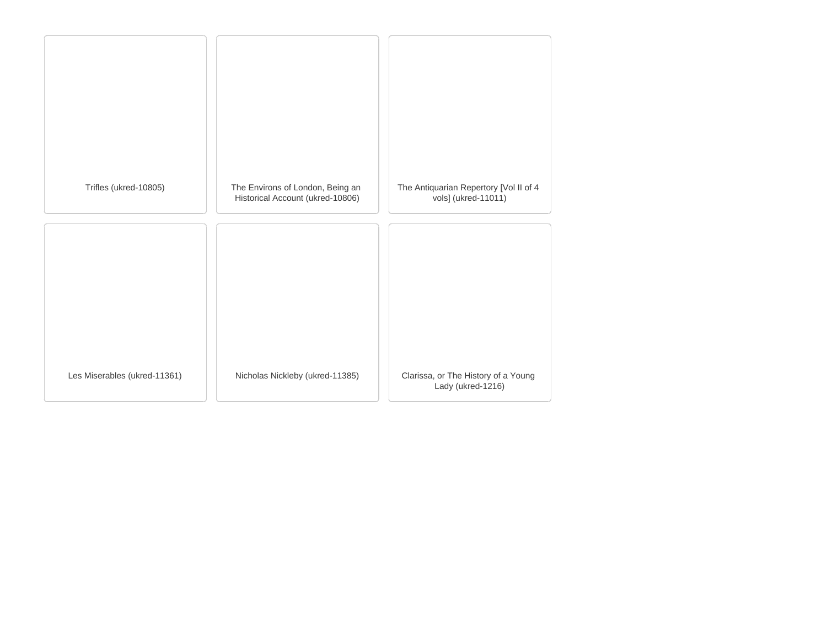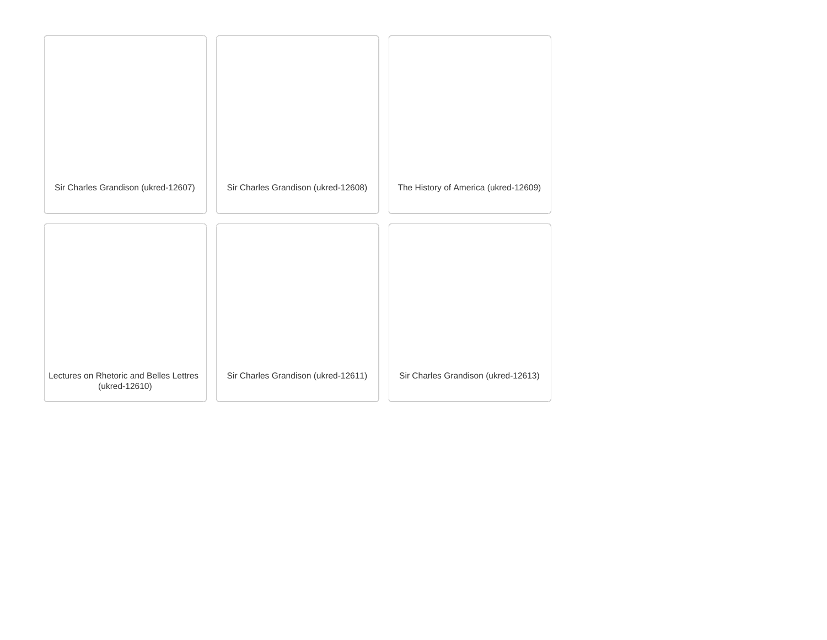| Sir Charles Grandison (ukred-12607)                      | Sir Charles Grandison (ukred-12608) | The History of America (ukred-12609) |
|----------------------------------------------------------|-------------------------------------|--------------------------------------|
|                                                          |                                     |                                      |
|                                                          |                                     |                                      |
| Lectures on Rhetoric and Belles Lettres<br>(ukred-12610) | Sir Charles Grandison (ukred-12611) | Sir Charles Grandison (ukred-12613)  |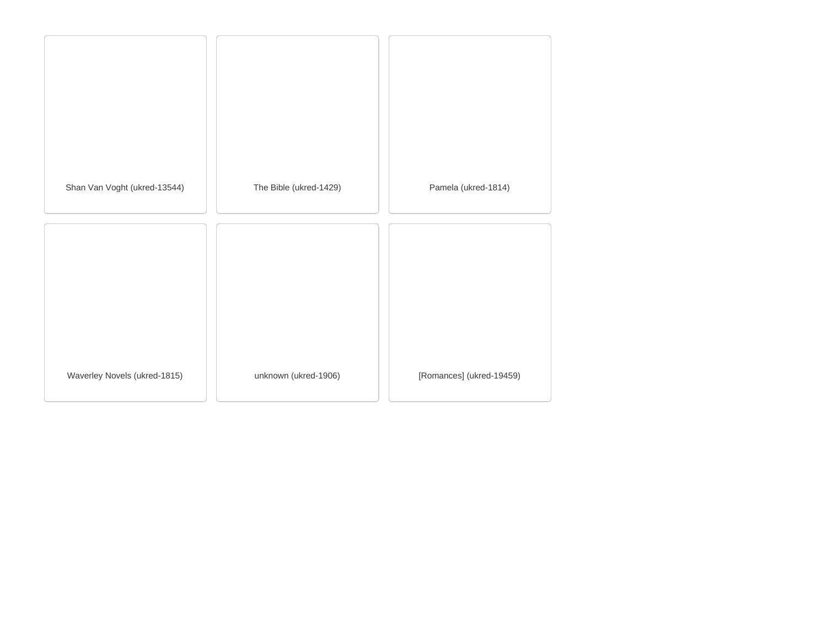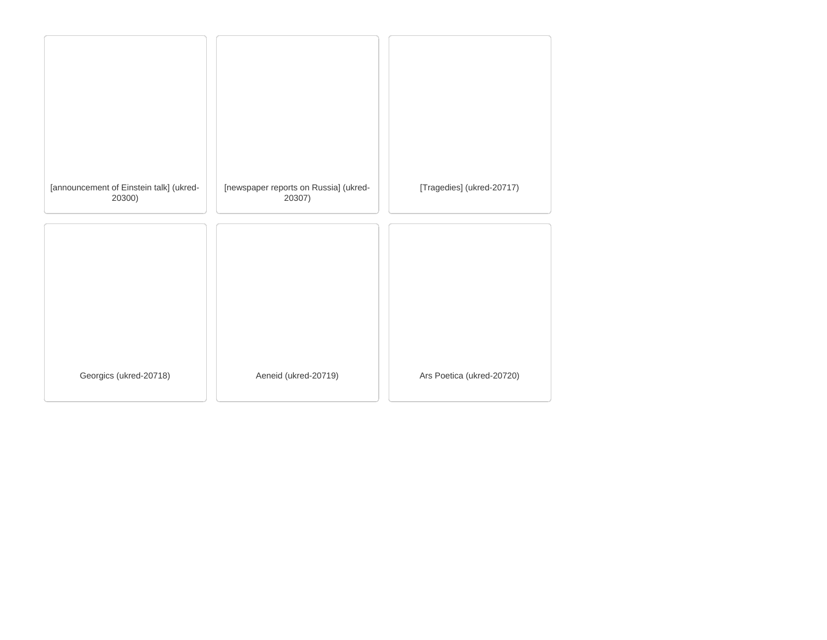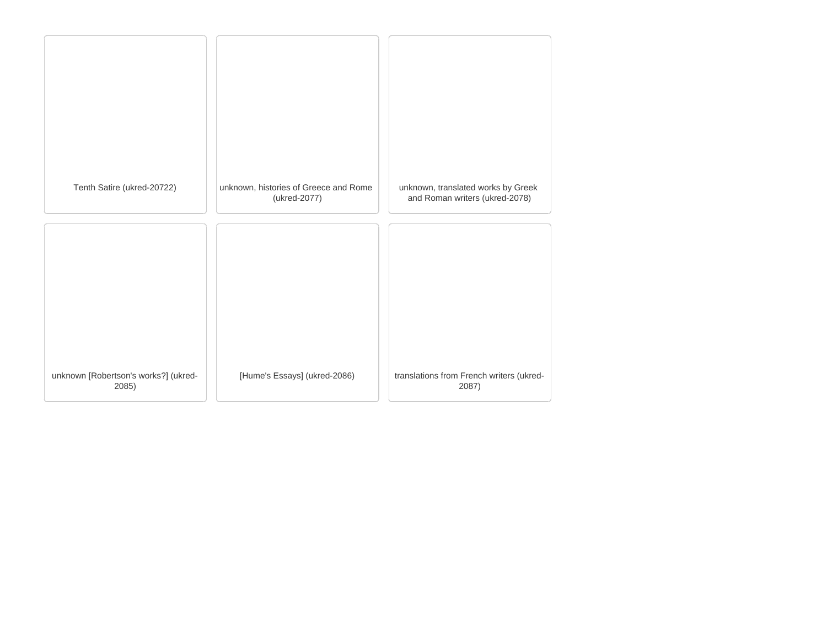| Tenth Satire (ukred-20722)                    | unknown, histories of Greece and Rome<br>(ukred-2077) | unknown, translated works by Greek<br>and Roman writers (ukred-2078) |
|-----------------------------------------------|-------------------------------------------------------|----------------------------------------------------------------------|
|                                               |                                                       |                                                                      |
|                                               |                                                       |                                                                      |
| unknown [Robertson's works?] (ukred-<br>2085) | [Hume's Essays] (ukred-2086)                          | translations from French writers (ukred-<br>2087)                    |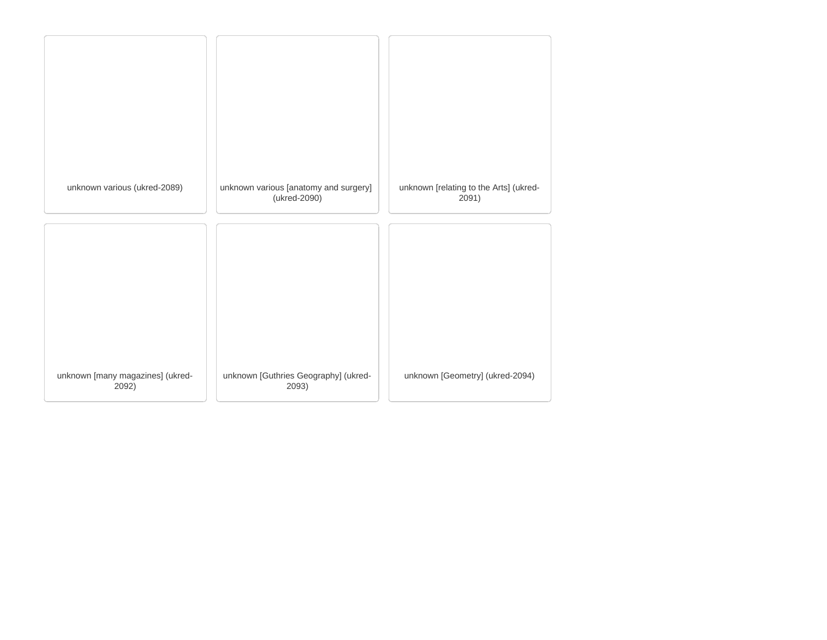| unknown various (ukred-2089)              | unknown various [anatomy and surgery]<br>(ukred-2090) | unknown [relating to the Arts] (ukred-<br>2091) |
|-------------------------------------------|-------------------------------------------------------|-------------------------------------------------|
|                                           |                                                       |                                                 |
|                                           |                                                       |                                                 |
|                                           |                                                       |                                                 |
| unknown [many magazines] (ukred-<br>2092) | unknown [Guthries Geography] (ukred-<br>2093)         | unknown [Geometry] (ukred-2094)                 |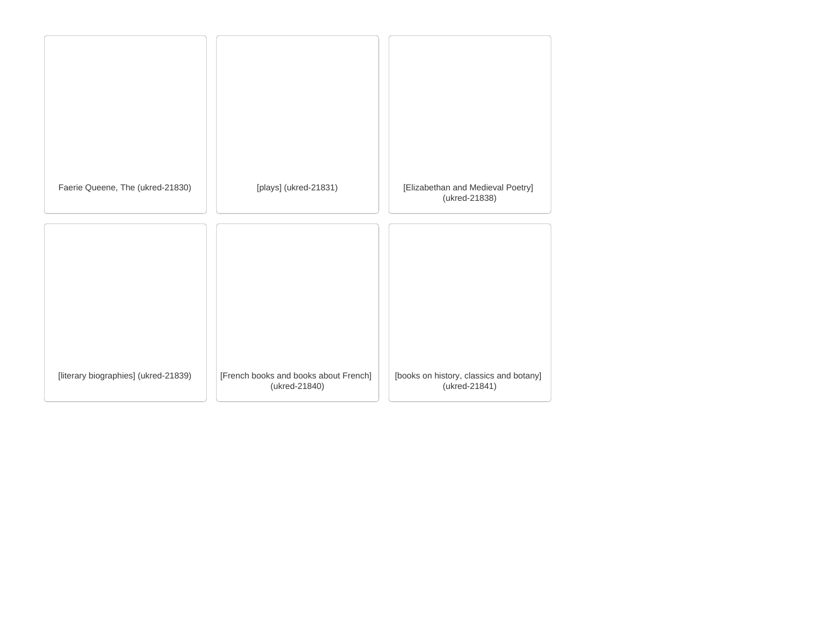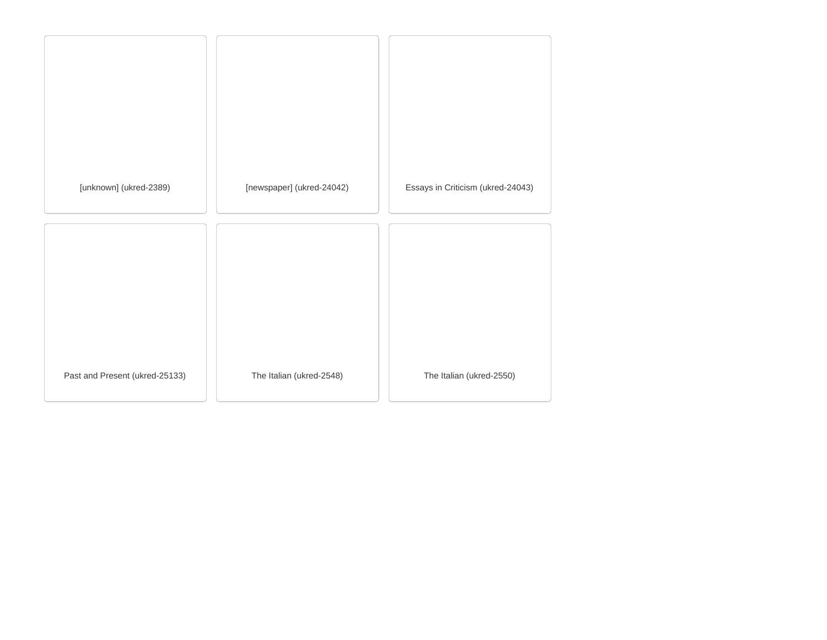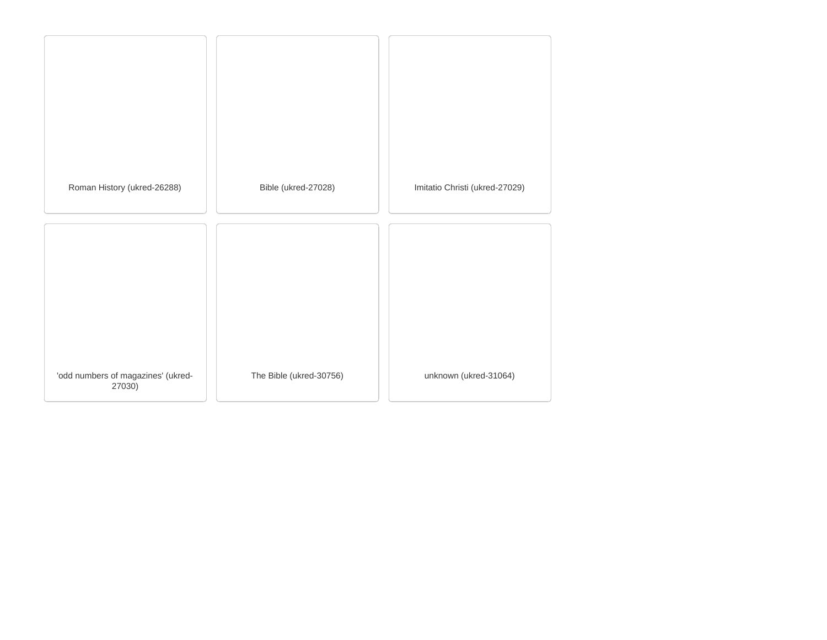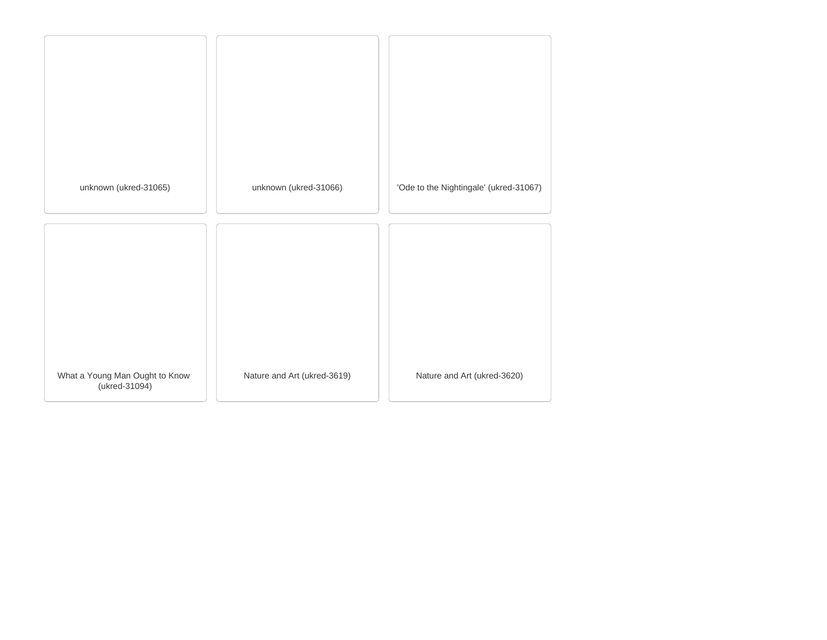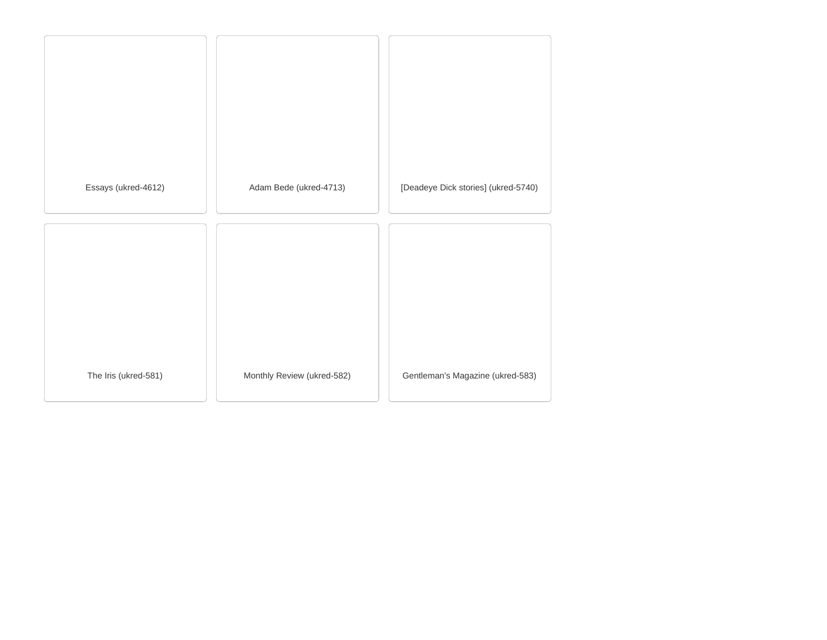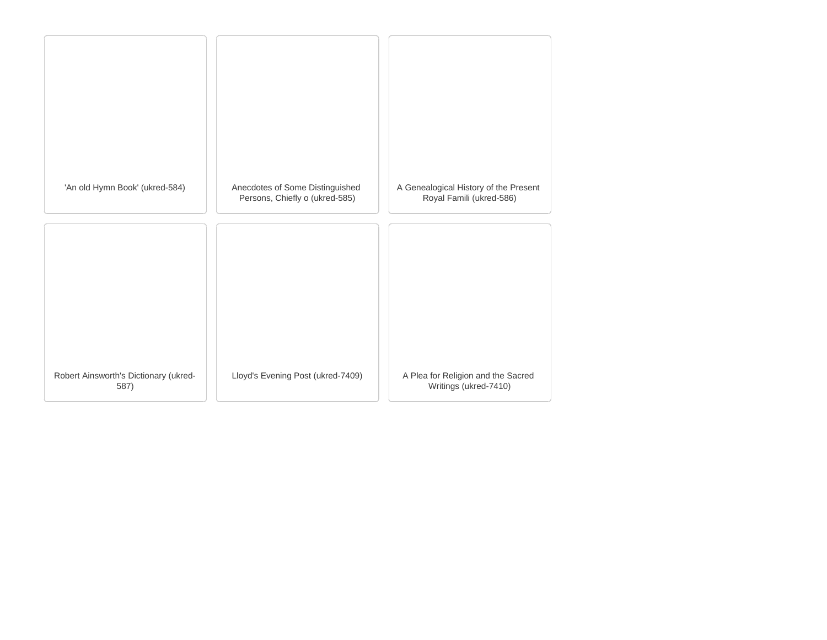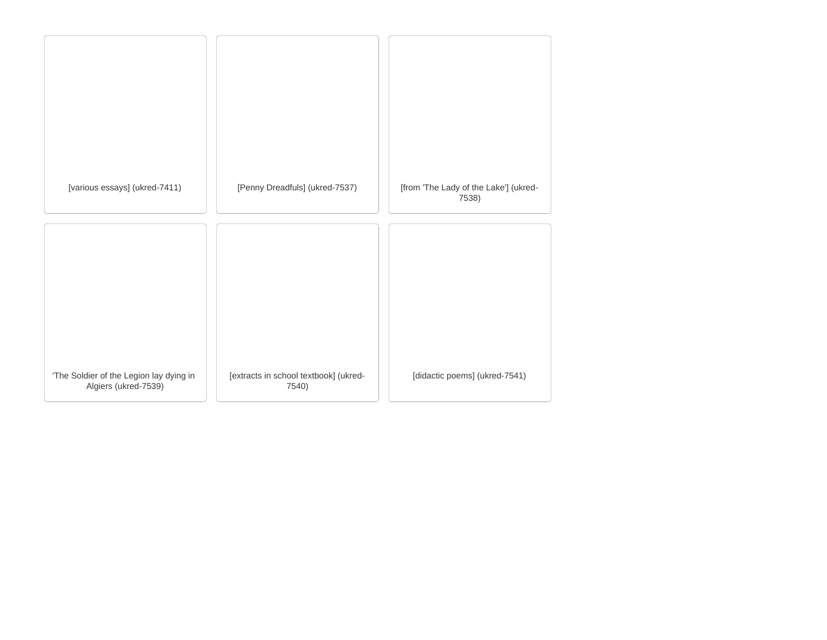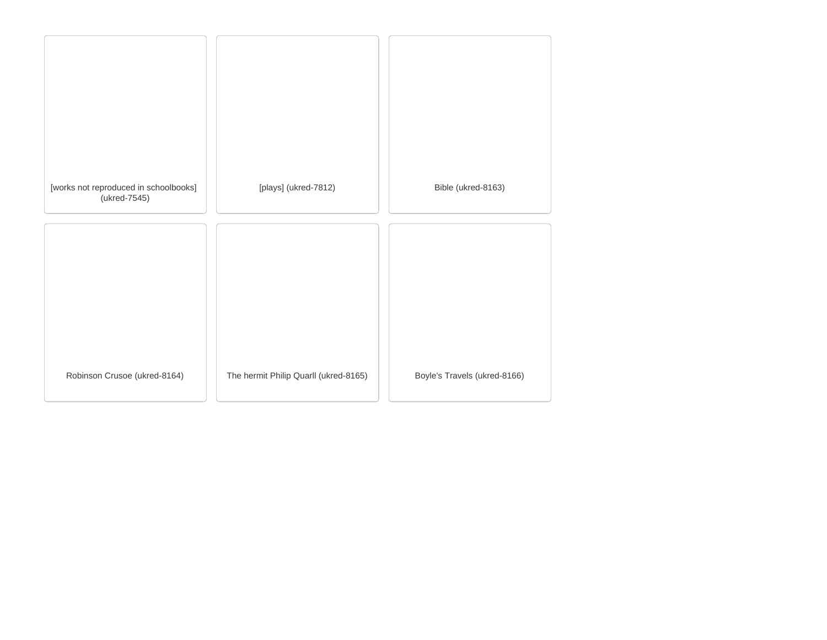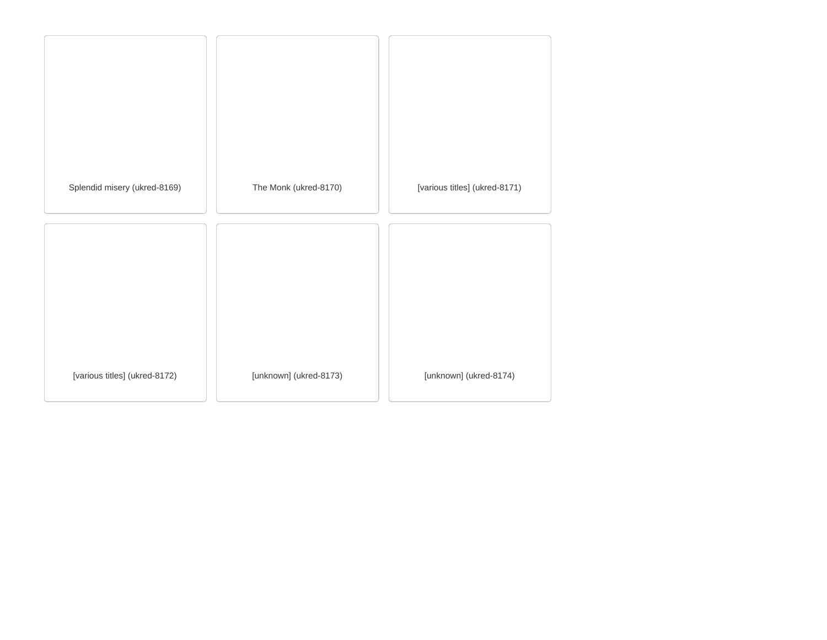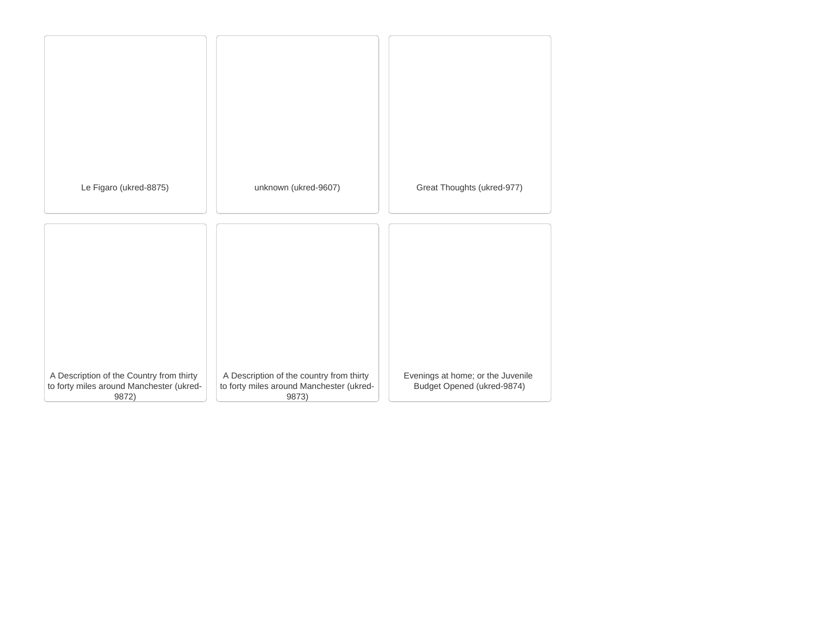